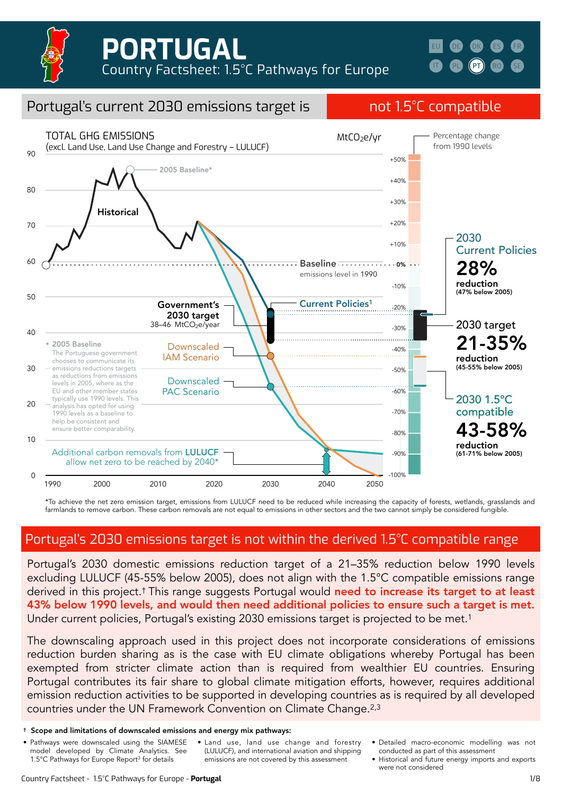

**[IT](https://climateanalytics.org/media/italy_1.pdf) [DK](https://climateanalytics.org/media/denmark.pdf) [ES](https://climateanalytics.org/media/spain.pdf) [FR](https://climateanalytics.org/media/france.pdf) [PL](https://climateanalytics.org/media/poland.pdf) [PT](https://climateanalytics.org/media/portugal.pdf) [RO](https://climateanalytics.org/media/romania.pdf) [SE](https://climateanalytics.org/media/sweden.pdf) [EU](https://climateanalytics.org/publications/2021/15c-pathways-for-europe-achieving-the-highest-plausible-climate-ambition/) [DE](https://climateanalytics.org/media/germany.pdf)**



\*To achieve the net zero emission target, emissions from LULUCF need to be reduced while increasing the capacity of forests, wetlands, grasslands and farmlands to remove carbon. These carbon removals are not equal to emissions in other sectors and the two cannot simply be considered fungible.

## Portugal's 2030 emissions target is not within the derived 1.5°C compatible range

Portugal's 2030 domestic emissions reduction target of a 21–35% reduction below 1990 levels excluding LULUCF (45-55% below 2005), does not align with the 1.5°C compatible emissions range derived in this project.<sup>†</sup> This range suggests Portugal would need to increase its target to at least 43% below 1990 levels, and would then need additional policies to ensure such a target is met. Under current policies, Portugal's existing 2030 emissions target is projected to be met.<sup>1</sup>

The downscaling approach used in this project does not incorporate considerations of emissions reduction burden sharing as is the case with EU climate obligations whereby Portugal has been exempted from stricter climate action than is required from wealthier EU countries. Ensuring Portugal contributes its fair share to global climate mitigation efforts, however, requires additional emission reduction activities to be supported in developing countries as is required by all developed countries under the UN Framework Convention on Climate Change.2,3

- Pathways were downscaled using the SIAMESE model developed by Climate Analytics. See 1.5°C Pathways for Europe Report3 for details
- Land use, land use change and forestry (LULUCF), and international aviation and shipping emissions are not covered by this assessment
- Detailed macro-economic modelling was not conducted as part of this assessment
	- Historical and future energy imports and exports were not considered

<sup>†</sup> Scope and limitations of downscaled emissions and energy mix pathways: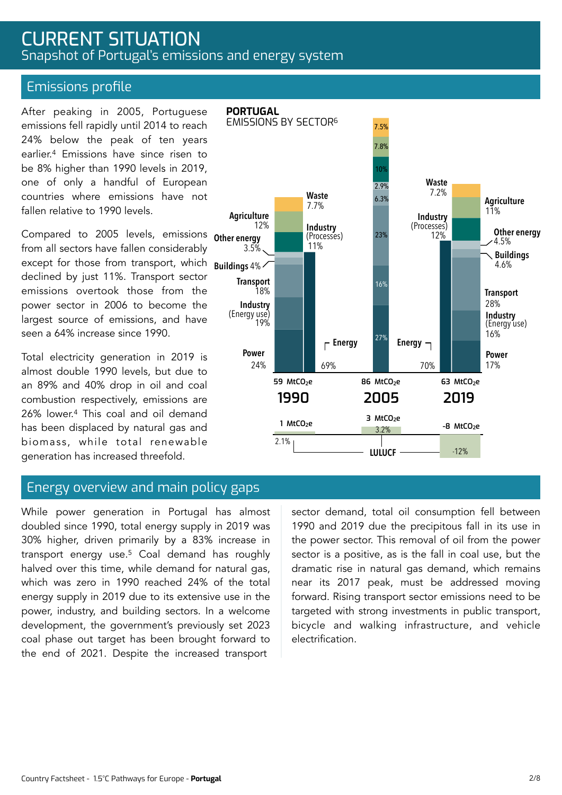## CURRENT SITUATION Snapshot of Portugal's emissions and energy system

### Emissions profile

After peaking in 2005, Portuguese emissions fell rapidly until 2014 to reach 24% below the peak of ten years earlier.4 Emissions have since risen to be 8% higher than 1990 levels in 2019, one of only a handful of European countries where emissions have not fallen relative to 1990 levels.

except for those from transport, which **Buildings** 4% Compared to 2005 levels, emissions **<sub>Other energy</mark>**</sub> from all sectors have fallen considerably declined by just 11%. Transport sector emissions overtook those from the power sector in 2006 to become the largest source of emissions, and have seen a 64% increase since 1990.

Total electricity generation in 2019 is almost double 1990 levels, but due to an 89% and 40% drop in oil and coal combustion respectively, emissions are 26% lower.4 This coal and oil demand has been displaced by natural gas and biomass, while total renewable generation has increased threefold.

### Energy overview and main policy gaps

While power generation in Portugal has almost doubled since 1990, total energy supply in 2019 was 30% higher, driven primarily by a 83% increase in transport energy use.5 Coal demand has roughly halved over this time, while demand for natural gas, which was zero in 1990 reached 24% of the total energy supply in 2019 due to its extensive use in the power, industry, and building sectors. In a welcome development, the government's previously set 2023 coal phase out target has been brought forward to the end of 2021. Despite the increased transport

sector demand, total oil consumption fell between 1990 and 2019 due the precipitous fall in its use in the power sector. This removal of oil from the power sector is a positive, as is the fall in coal use, but the dramatic rise in natural gas demand, which remains near its 2017 peak, must be addressed moving forward. Rising transport sector emissions need to be targeted with strong investments in public transport, bicycle and walking infrastructure, and vehicle electrification.



#### Country Factsheet - 1.5°C Pathways for Europe - **Portugal**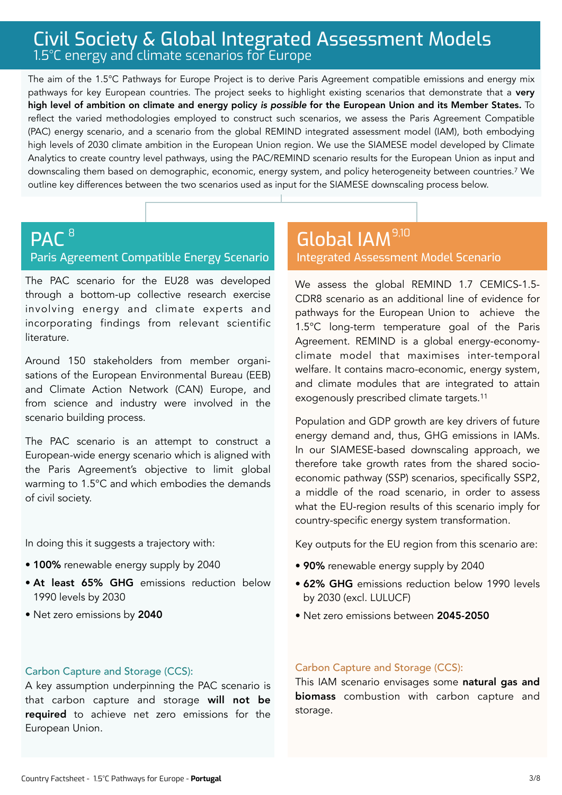# Civil Society & Global Integrated Assessment Models 1.5°C energy and climate scenarios for Europe

The aim of the 1.5°C Pathways for Europe Project is to derive Paris Agreement compatible emissions and energy mix pathways for key European countries. The project seeks to highlight existing scenarios that demonstrate that a very high level of ambition on climate and energy policy *is possible* for the European Union and its Member States. To reflect the varied methodologies employed to construct such scenarios, we assess the Paris Agreement Compatible (PAC) energy scenario, and a scenario from the global REMIND integrated assessment model (IAM), both embodying high levels of 2030 climate ambition in the European Union region. We use the SIAMESE model developed by Climate Analytics to create country level pathways, using the PAC/REMIND scenario results for the European Union as input and downscaling them based on demographic, economic, energy system, and policy heterogeneity between countries.7 We outline key differences between the two scenarios used as input for the SIAMESE downscaling process below.

### PAC<sup>8</sup> Paris Agreement Compatible Energy Scenario  $\blacksquare$ <sup>8</sup>,100  $\blacksquare$  Global IAM  $^{9,10}$

The PAC scenario for the EU28 was developed through a bottom-up collective research exercise involving energy and climate experts and incorporating findings from relevant scientific literature.

Around 150 stakeholders from member organisations of the European Environmental Bureau (EEB) and Climate Action Network (CAN) Europe, and from science and industry were involved in the scenario building process.

The PAC scenario is an attempt to construct a European-wide energy scenario which is aligned with the Paris Agreement's objective to limit global warming to 1.5°C and which embodies the demands of civil society.

In doing this it suggests a trajectory with:

- 100% renewable energy supply by 2040
- At least 65% GHG emissions reduction below 1990 levels by 2030
- Net zero emissions by 2040

# Integrated Assessment Model Scenario

We assess the global REMIND 1.7 CEMICS-1.5- CDR8 scenario as an additional line of evidence for pathways for the European Union to achieve the 1.5°C long-term temperature goal of the Paris Agreement. REMIND is a global energy-economyclimate model that maximises inter-temporal welfare. It contains macro-economic, energy system, and climate modules that are integrated to attain exogenously prescribed climate targets.11

Population and GDP growth are key drivers of future energy demand and, thus, GHG emissions in IAMs. In our SIAMESE-based downscaling approach, we therefore take growth rates from the shared socioeconomic pathway (SSP) scenarios, specifically SSP2, a middle of the road scenario, in order to assess what the EU-region results of this scenario imply for country-specific energy system transformation.

Key outputs for the EU region from this scenario are:

- 90% renewable energy supply by 2040
- 62% GHG emissions reduction below 1990 levels by 2030 (excl. LULUCF)
- Net zero emissions between 2045-2050

### Carbon Capture and Storage (CCS):

A key assumption underpinning the PAC scenario is that carbon capture and storage will not be required to achieve net zero emissions for the European Union.

### Carbon Capture and Storage (CCS):

This IAM scenario envisages some natural gas and biomass combustion with carbon capture and storage.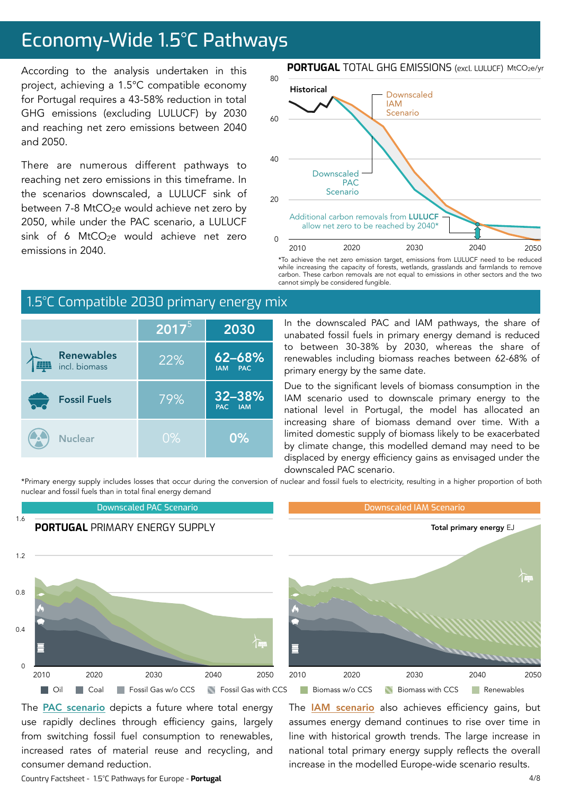# Economy-Wide 1.5°C Pathways

According to the analysis undertaken in this project, achieving a 1.5°C compatible economy for Portugal requires a 43-58% reduction in total GHG emissions (excluding LULUCF) by 2030 and reaching net zero emissions between 2040 and 2050.

There are numerous different pathways to reaching net zero emissions in this timeframe. In the scenarios downscaled, a LULUCF sink of between 7-8 MtCO<sub>2</sub>e would achieve net zero by 2050, while under the PAC scenario, a LULUCF sink of 6 MtCO<sub>2</sub>e would achieve net zero emissions in 2040.

### **PORTUGAL** TOTAL GHG EMISSIONS (excl. LULUCF) MtCO<sub>2</sub>e/yr



\*To achieve the net zero emission target, emissions from LULUCF need to be reduced while increasing the capacity of forests, wetlands, grasslands and farmlands to remove carbon. These carbon removals are not equal to emissions in other sectors and the two cannot simply be considered fungible.

### 32–38%<br>PAC IAM **PAM** 62–68% IAM PAC Fossil Fuels **Nuclear** 22%  $\overline{{\bf 2017}^5}$  2030 79%  $0\%$  0% Renewables incl. biomass

### 1.5°C Compatible 2030 primary energy mix

In the downscaled PAC and IAM pathways, the share of unabated fossil fuels in primary energy demand is reduced to between 30-38% by 2030, whereas the share of renewables including biomass reaches between 62-68% of primary energy by the same date.

Due to the significant levels of biomass consumption in the IAM scenario used to downscale primary energy to the national level in Portugal, the model has allocated an increasing share of biomass demand over time. With a limited domestic supply of biomass likely to be exacerbated by climate change, this modelled demand may need to be displaced by energy efficiency gains as envisaged under the downscaled PAC scenario.

The **[IAM scenario](https://www.pik-potsdam.de/en/institute/departments/transformation-pathways/models/remind/remind16_description_2015_11_30_final#:~:text=REMIND%20is%20a%20global%20energy,inter-temporal%20welfare%20is%20maximized.&text=Macro-economic%20production%20factors%20are,,%20labor,%20and%20final%20energy.)** also achieves efficiency gains, but assumes energy demand continues to rise over time in line with historical growth trends. The large increase in national total primary energy supply reflects the overall increase in the modelled Europe-wide scenario results.

Downscaled PAC Scenario Downscaled IAM Scenario 1.6 **PORTUGAL** PRIMARY FNFRGY SUPPLY 1.2 0.8  $0.4$ F  $\Omega$ 2010 2020 2030 2040 20502010 2020 2030 2040 2050 2010 2050 2010 2050 **Oil Coal Fossil Gas w/o CCS** Fossil Gas with CCS Biomass w/o CCS Biomass with CCS Renewables

\*Primary energy supply includes losses that occur during the conversion of nuclear and fossil fuels to electricity, resulting in a higher proportion of both nuclear and fossil fuels than in total final energy demand

The **PAC** scenario depicts a future where total energy use rapidly declines through efficiency gains, largely from switching fossil fuel consumption to renewables, increased rates of material reuse and recycling, and consumer demand reduction.

Country Factsheet - 1.5°C Pathways for Europe - **Portugal**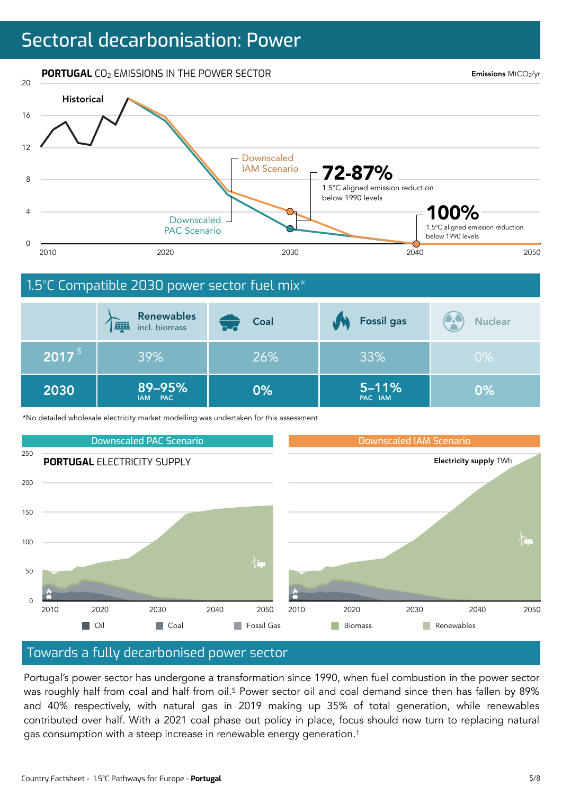# Sectoral decarbonisation: Power

**PORTUGAL** CO<sub>2</sub> EMISSIONS IN THE POWER SECTOR

Emissions MtCO2/yr



### 1.5°C Compatible 2030 power sector fuel mix\*

|                   | <b>Renewables</b><br><b>EXIST</b><br>incl. biomass | Coal<br>hud | <b>Fossil gas</b>    | <b>CA</b><br><b>Nuclear</b> |
|-------------------|----------------------------------------------------|-------------|----------------------|-----------------------------|
| 2017 <sup>5</sup> | 39%                                                | 26%         | 33%                  | $0\%$                       |
| 2030              | 89-95%<br>IAM PAC                                  | 0%          | $5 - 11%$<br>PAC IAM | 0%                          |

\*No detailed wholesale electricity market modelling was undertaken for this assessment



### Towards a fully decarbonised power sector

Portugal's power sector has undergone a transformation since 1990, when fuel combustion in the power sector was roughly half from coal and half from oil.<sup>5</sup> Power sector oil and coal demand since then has fallen by 89% and 40% respectively, with natural gas in 2019 making up 35% of total generation, while renewables contributed over half. With a 2021 coal phase out policy in place, focus should now turn to replacing natural gas consumption with a steep increase in renewable energy generation.1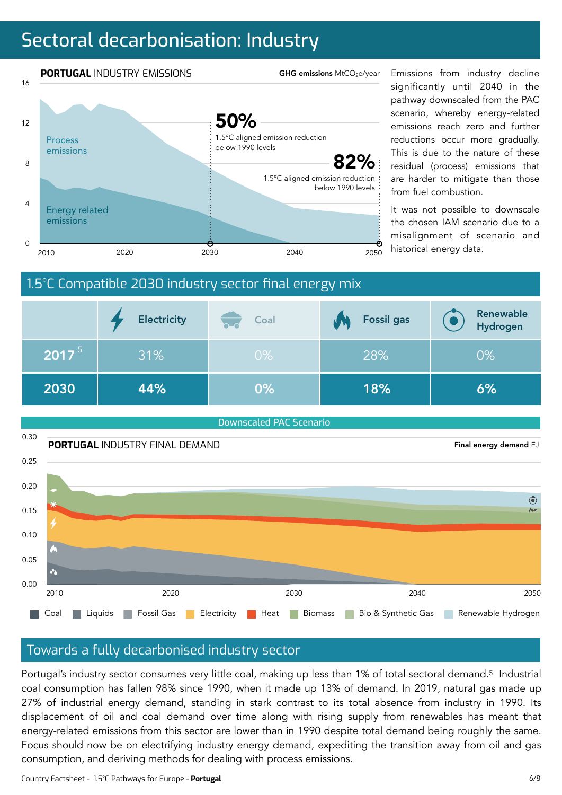# Sectoral decarbonisation: Industry



significantly until 2040 in the pathway downscaled from the PAC scenario, whereby energy-related emissions reach zero and further reductions occur more gradually. This is due to the nature of these residual (process) emissions that are harder to mitigate than those from fuel combustion.

It was not possible to downscale the chosen IAM scenario due to a misalignment of scenario and



Downscaled PAC Scenario



### Towards a fully decarbonised industry sector

Portugal's industry sector consumes very little coal, making up less than 1% of total sectoral demand.5 Industrial coal consumption has fallen 98% since 1990, when it made up 13% of demand. In 2019, natural gas made up 27% of industrial energy demand, standing in stark contrast to its total absence from industry in 1990. Its displacement of oil and coal demand over time along with rising supply from renewables has meant that energy-related emissions from this sector are lower than in 1990 despite total demand being roughly the same. Focus should now be on electrifying industry energy demand, expediting the transition away from oil and gas consumption, and deriving methods for dealing with process emissions.

Country Factsheet - 1.5°C Pathways for Europe - **Portugal**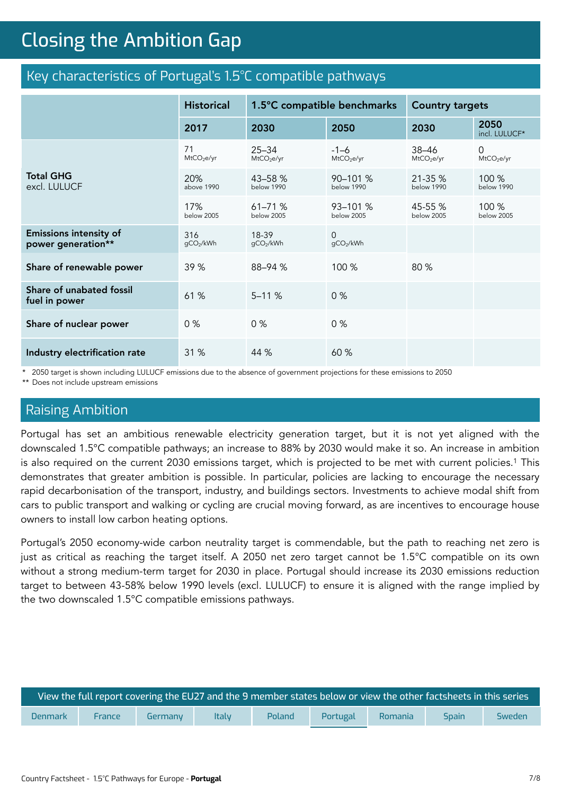# **Closing the Ambition Gap** Closing the Ambition Gap

### Key characteristics of Portugal's 1.5°C compatible pathways

|                                                     | <b>Historical</b>            | 1.5°C compatible benchmarks         |                                  | <b>Country targets</b>              |                                    |
|-----------------------------------------------------|------------------------------|-------------------------------------|----------------------------------|-------------------------------------|------------------------------------|
|                                                     | 2017                         | 2030                                | 2050                             | 2030                                | 2050<br>incl. LULUCF*              |
|                                                     | 71<br>MtCO <sub>2</sub> e/yr | $25 - 34$<br>MtCO <sub>2</sub> e/yr | $-1-6$<br>MtCO <sub>2</sub> e/yr | $38 - 46$<br>MtCO <sub>2</sub> e/yr | $\Omega$<br>MtCO <sub>2</sub> e/yr |
| <b>Total GHG</b><br>excl. LULUCF                    | 20%<br>above 1990            | 43-58 %<br>below 1990               | $90 - 101 %$<br>below 1990       | 21-35 %<br>below 1990               | 100 %<br>below 1990                |
|                                                     | 17%<br>below 2005            | $61 - 71%$<br>below 2005            | 93-101 %<br>below 2005           | 45-55 %<br>below 2005               | 100 %<br>below 2005                |
| <b>Emissions intensity of</b><br>power generation** | 316<br>qCO2/kWh              | 18-39<br>gCO2/kWh                   | $\Omega$<br>gCO2/kWh             |                                     |                                    |
| Share of renewable power                            | 39 %                         | 88-94 %                             | 100 %                            | 80 %                                |                                    |
| Share of unabated fossil<br>fuel in power           | 61 %                         | $5 - 11%$                           | 0%                               |                                     |                                    |
| Share of nuclear power                              | 0%                           | 0%                                  | 0%                               |                                     |                                    |
| Industry electrification rate                       | 31 %                         | 44 %                                | 60 %                             |                                     |                                    |

\* 2050 target is shown including LULUCF emissions due to the absence of government projections for these emissions to 2050

\*\* Does not include upstream emissions

### Raising Ambition

Portugal has set an ambitious renewable electricity generation target, but it is not yet aligned with the downscaled 1.5°C compatible pathways; an increase to 88% by 2030 would make it so. An increase in ambition is also required on the current 2030 emissions target, which is projected to be met with current policies.<sup>1</sup> This demonstrates that greater ambition is possible. In particular, policies are lacking to encourage the necessary rapid decarbonisation of the transport, industry, and buildings sectors. Investments to achieve modal shift from cars to public transport and walking or cycling are crucial moving forward, as are incentives to encourage house owners to install low carbon heating options.

Portugal's 2050 economy-wide carbon neutrality target is commendable, but the path to reaching net zero is just as critical as reaching the target itself. A 2050 net zero target cannot be 1.5°C compatible on its own without a strong medium-term target for 2030 in place. Portugal should increase its 2030 emissions reduction target to between 43-58% below 1990 levels (excl. LULUCF) to ensure it is aligned with the range implied by the two downscaled 1.5°C compatible emissions pathways.

| <mark>, View the full report covering the EU27</mark> and the 9 member states below or view the ot <u>her factsheets in this series i</u> |        |         |              |        |          |         |              |        |
|-------------------------------------------------------------------------------------------------------------------------------------------|--------|---------|--------------|--------|----------|---------|--------------|--------|
| <b>Denmark</b>                                                                                                                            | France | Germany | <b>Italy</b> | Poland | Portugal | Romania | <b>Spain</b> | Sweden |